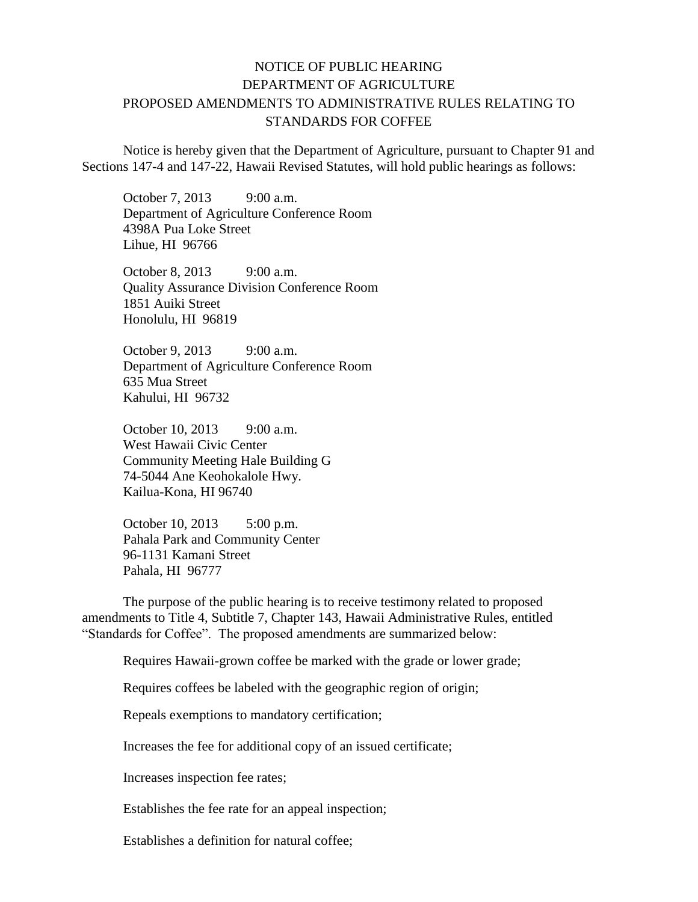## NOTICE OF PUBLIC HEARING DEPARTMENT OF AGRICULTURE PROPOSED AMENDMENTS TO ADMINISTRATIVE RULES RELATING TO STANDARDS FOR COFFEE

Notice is hereby given that the Department of Agriculture, pursuant to Chapter 91 and Sections 147-4 and 147-22, Hawaii Revised Statutes, will hold public hearings as follows:

October 7, 2013 9:00 a.m. Department of Agriculture Conference Room 4398A Pua Loke Street Lihue, HI 96766

October 8, 2013 9:00 a.m. Quality Assurance Division Conference Room 1851 Auiki Street Honolulu, HI 96819

October 9, 2013 9:00 a.m. Department of Agriculture Conference Room 635 Mua Street Kahului, HI 96732

October 10, 2013 9:00 a.m. West Hawaii Civic Center Community Meeting Hale Building G 74-5044 Ane Keohokalole Hwy. Kailua-Kona, HI 96740

October 10, 2013 5:00 p.m. Pahala Park and Community Center 96-1131 Kamani Street Pahala, HI 96777

The purpose of the public hearing is to receive testimony related to proposed amendments to Title 4, Subtitle 7, Chapter 143, Hawaii Administrative Rules, entitled "Standards for Coffee". The proposed amendments are summarized below:

Requires Hawaii-grown coffee be marked with the grade or lower grade;

Requires coffees be labeled with the geographic region of origin;

Repeals exemptions to mandatory certification;

Increases the fee for additional copy of an issued certificate;

Increases inspection fee rates;

Establishes the fee rate for an appeal inspection;

Establishes a definition for natural coffee;